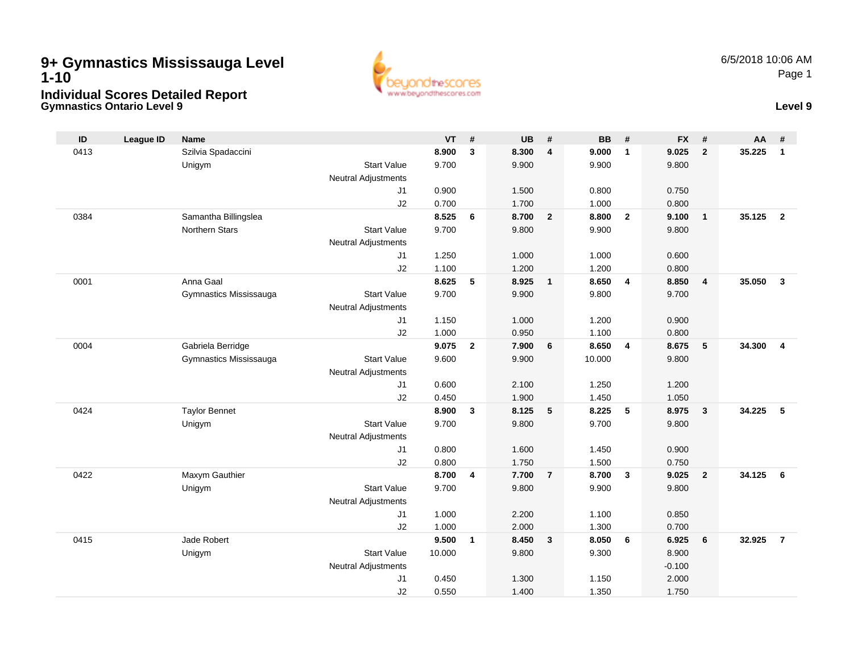## **Gymnastics Ontario Level 9 Level 9 9+ Gymnastics Mississauga Level 1-10Individual Scores Detailed Report**



| ID   | <b>League ID</b> | <b>Name</b>            |                            | VT             | #              | <b>UB</b>      | #              | <b>BB</b>      | #                       | <b>FX</b>      | #              | AA     | #                       |
|------|------------------|------------------------|----------------------------|----------------|----------------|----------------|----------------|----------------|-------------------------|----------------|----------------|--------|-------------------------|
| 0413 |                  | Szilvia Spadaccini     |                            | 8.900          | $\mathbf{3}$   | 8.300          | $\overline{4}$ | 9.000          | $\overline{1}$          | 9.025          | $\overline{2}$ | 35.225 | $\mathbf{1}$            |
|      |                  | Unigym                 | <b>Start Value</b>         | 9.700          |                | 9.900          |                | 9.900          |                         | 9.800          |                |        |                         |
|      |                  |                        | <b>Neutral Adjustments</b> |                |                |                |                |                |                         |                |                |        |                         |
|      |                  |                        | J1                         | 0.900          |                | 1.500          |                | 0.800          |                         | 0.750          |                |        |                         |
|      |                  |                        | J2                         | 0.700          |                | 1.700          |                | 1.000          |                         | 0.800          |                |        |                         |
| 0384 |                  | Samantha Billingslea   |                            | 8.525          | 6              | 8.700          | $\overline{2}$ | 8.800          | $\overline{2}$          | 9.100          | $\mathbf{1}$   | 35.125 | $\overline{2}$          |
|      |                  | Northern Stars         | <b>Start Value</b>         | 9.700          |                | 9.800          |                | 9.900          |                         | 9.800          |                |        |                         |
|      |                  |                        | <b>Neutral Adjustments</b> |                |                |                |                |                |                         |                |                |        |                         |
|      |                  |                        | J1                         | 1.250          |                | 1.000          |                | 1.000          |                         | 0.600          |                |        |                         |
|      |                  |                        | J2                         | 1.100          |                | 1.200          |                | 1.200          |                         | 0.800          |                |        |                         |
| 0001 |                  | Anna Gaal              |                            | 8.625          | 5              | 8.925          | $\mathbf{1}$   | 8.650          | $\overline{4}$          | 8.850          | $\overline{4}$ | 35.050 | $\mathbf{3}$            |
|      |                  | Gymnastics Mississauga | <b>Start Value</b>         | 9.700          |                | 9.900          |                | 9.800          |                         | 9.700          |                |        |                         |
|      |                  |                        | <b>Neutral Adjustments</b> |                |                |                |                |                |                         |                |                |        |                         |
|      |                  |                        | J1<br>J2                   | 1.150<br>1.000 |                | 1.000<br>0.950 |                | 1.200<br>1.100 |                         | 0.900<br>0.800 |                |        |                         |
| 0004 |                  | Gabriela Berridge      |                            | 9.075          | $\overline{2}$ | 7.900          | 6              | 8.650          | $\overline{\mathbf{4}}$ | 8.675          | 5              | 34.300 | $\overline{\mathbf{4}}$ |
|      |                  | Gymnastics Mississauga | <b>Start Value</b>         | 9.600          |                | 9.900          |                | 10.000         |                         | 9.800          |                |        |                         |
|      |                  |                        | <b>Neutral Adjustments</b> |                |                |                |                |                |                         |                |                |        |                         |
|      |                  |                        | J1                         | 0.600          |                | 2.100          |                | 1.250          |                         | 1.200          |                |        |                         |
|      |                  |                        | J2                         | 0.450          |                | 1.900          |                | 1.450          |                         | 1.050          |                |        |                         |
| 0424 |                  | <b>Taylor Bennet</b>   |                            | 8.900          | $\mathbf{3}$   | 8.125          | 5              | 8.225          | $-5$                    | 8.975          | $\mathbf{3}$   | 34.225 | 5                       |
|      |                  | Unigym                 | <b>Start Value</b>         | 9.700          |                | 9.800          |                | 9.700          |                         | 9.800          |                |        |                         |
|      |                  |                        | <b>Neutral Adjustments</b> |                |                |                |                |                |                         |                |                |        |                         |
|      |                  |                        | J1                         | 0.800          |                | 1.600          |                | 1.450          |                         | 0.900          |                |        |                         |
|      |                  |                        | J2                         | 0.800          |                | 1.750          |                | 1.500          |                         | 0.750          |                |        |                         |
| 0422 |                  | Maxym Gauthier         |                            | 8.700          | 4              | 7.700          | $\overline{7}$ | 8.700          | $\mathbf{3}$            | 9.025          | $\overline{2}$ | 34.125 | 6                       |
|      |                  | Unigym                 | <b>Start Value</b>         | 9.700          |                | 9.800          |                | 9.900          |                         | 9.800          |                |        |                         |
|      |                  |                        | <b>Neutral Adjustments</b> |                |                |                |                |                |                         |                |                |        |                         |
|      |                  |                        | J1                         | 1.000          |                | 2.200          |                | 1.100          |                         | 0.850          |                |        |                         |
|      |                  |                        | J2                         | 1.000          |                | 2.000          |                | 1.300          |                         | 0.700          |                |        |                         |
| 0415 |                  | Jade Robert            |                            | 9.500          | 1              | 8.450          | $\mathbf{3}$   | 8.050          | 6                       | 6.925          | 6              | 32.925 | $\overline{7}$          |
|      |                  | Unigym                 | <b>Start Value</b>         | 10.000         |                | 9.800          |                | 9.300          |                         | 8.900          |                |        |                         |
|      |                  |                        | <b>Neutral Adjustments</b> |                |                |                |                |                |                         | $-0.100$       |                |        |                         |
|      |                  |                        | J <sub>1</sub>             | 0.450          |                | 1.300          |                | 1.150          |                         | 2.000          |                |        |                         |
|      |                  |                        | J2                         | 0.550          |                | 1.400          |                | 1.350          |                         | 1.750          |                |        |                         |